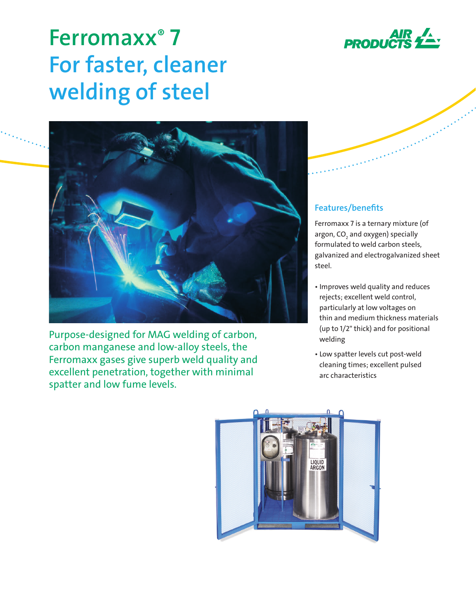

# **Ferromaxx® 7 For faster, cleaner welding of steel**



Purpose-designed for MAG welding of carbon, carbon manganese and low-alloy steels, the Ferromaxx gases give superb weld quality and excellent penetration, together with minimal spatter and low fume levels.

# **Features/benefits**

Ferromaxx 7 is a ternary mixture (of argon, CO<sub>2</sub> and oxygen) specially formulated to weld carbon steels, galvanized and electrogalvanized sheet steel.

- Improves weld quality and reduces rejects; excellent weld control, particularly at low voltages on thin and medium thickness materials (up to 1/2" thick) and for positional welding
- Low spatter levels cut post-weld cleaning times; excellent pulsed arc characteristics